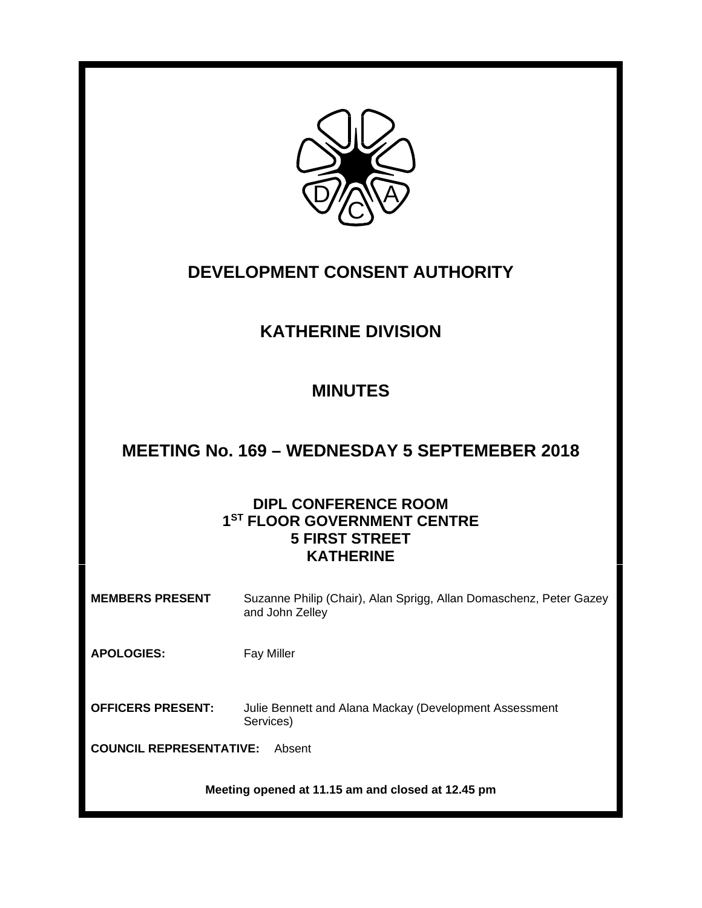

# **DEVELOPMENT CONSENT AUTHORITY**

## **KATHERINE DIVISION**

# **MINUTES**

# **MEETING No. 169 – WEDNESDAY 5 SEPTEMEBER 2018**

## **DIPL CONFERENCE ROOM 1ST FLOOR GOVERNMENT CENTRE 5 FIRST STREET KATHERINE**

| <b>MEMBERS PRESENT</b>                            | Suzanne Philip (Chair), Alan Sprigg, Allan Domaschenz, Peter Gazey<br>and John Zelley |  |  |
|---------------------------------------------------|---------------------------------------------------------------------------------------|--|--|
| <b>APOLOGIES:</b>                                 | <b>Fay Miller</b>                                                                     |  |  |
| <b>OFFICERS PRESENT:</b>                          | Julie Bennett and Alana Mackay (Development Assessment<br>Services)                   |  |  |
| <b>COUNCIL REPRESENTATIVE:</b><br>Absent          |                                                                                       |  |  |
| Meeting opened at 11.15 am and closed at 12.45 pm |                                                                                       |  |  |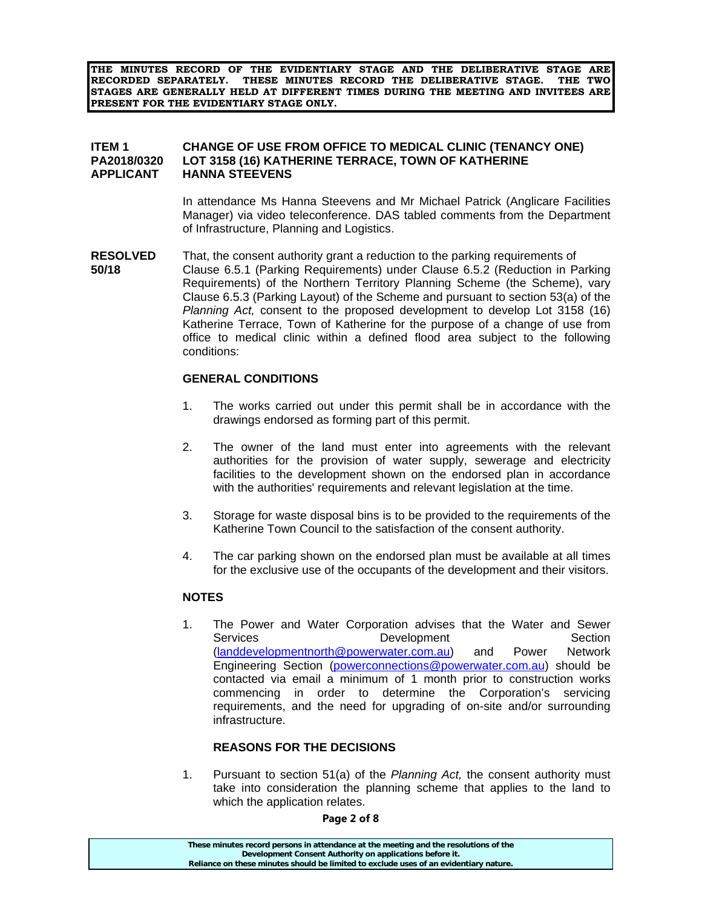**THE MINUTES RECORD OF THE EVIDENTIARY STAGE AND THE DELIBERATIVE STAGE ARE RECORDED SEPARATELY. THESE MINUTES RECORD THE DELIBERATIVE STAGE. THE TWO STAGES ARE GENERALLY HELD AT DIFFERENT TIMES DURING THE MEETING AND INVITEES ARE PRESENT FOR THE EVIDENTIARY STAGE ONLY.** 

## **ITEM 1 CHANGE OF USE FROM OFFICE TO MEDICAL CLINIC (TENANCY ONE) PA2018/0320 LOT 3158 (16) KATHERINE TERRACE, TOWN OF KATHERINE APPLICANT HANNA STEEVENS**

In attendance Ms Hanna Steevens and Mr Michael Patrick (Anglicare Facilities Manager) via video teleconference. DAS tabled comments from the Department of Infrastructure, Planning and Logistics.

**RESOLVED** That, the consent authority grant a reduction to the parking requirements of **50/18** Clause 6.5.1 (Parking Requirements) under Clause 6.5.2 (Reduction in Parking Requirements) of the Northern Territory Planning Scheme (the Scheme), vary Clause 6.5.3 (Parking Layout) of the Scheme and pursuant to section 53(a) of the *Planning Act,* consent to the proposed development to develop Lot 3158 (16) Katherine Terrace, Town of Katherine for the purpose of a change of use from office to medical clinic within a defined flood area subject to the following conditions:

## **GENERAL CONDITIONS**

- 1. The works carried out under this permit shall be in accordance with the drawings endorsed as forming part of this permit.
- 2. The owner of the land must enter into agreements with the relevant authorities for the provision of water supply, sewerage and electricity facilities to the development shown on the endorsed plan in accordance with the authorities' requirements and relevant legislation at the time.
- 3. Storage for waste disposal bins is to be provided to the requirements of the Katherine Town Council to the satisfaction of the consent authority.
- 4. The car parking shown on the endorsed plan must be available at all times for the exclusive use of the occupants of the development and their visitors.

### **NOTES**

1. The Power and Water Corporation advises that the Water and Sewer Services **Development** Development Section (landdevelopmentnorth@powerwater.com.au) and Power Network Engineering Section (powerconnections@powerwater.com.au) should be contacted via email a minimum of 1 month prior to construction works commencing in order to determine the Corporation's servicing requirements, and the need for upgrading of on-site and/or surrounding infrastructure.

### **REASONS FOR THE DECISIONS**

1. Pursuant to section 51(a) of the *Planning Act,* the consent authority must take into consideration the planning scheme that applies to the land to which the application relates.

#### **Page 2 of 8**

| These minutes record persons in attendance at the meeting and the resolutions of the  |
|---------------------------------------------------------------------------------------|
| Development Consent Authority on applications before it.                              |
| Reliance on these minutes should be limited to exclude uses of an evidentiary nature. |
|                                                                                       |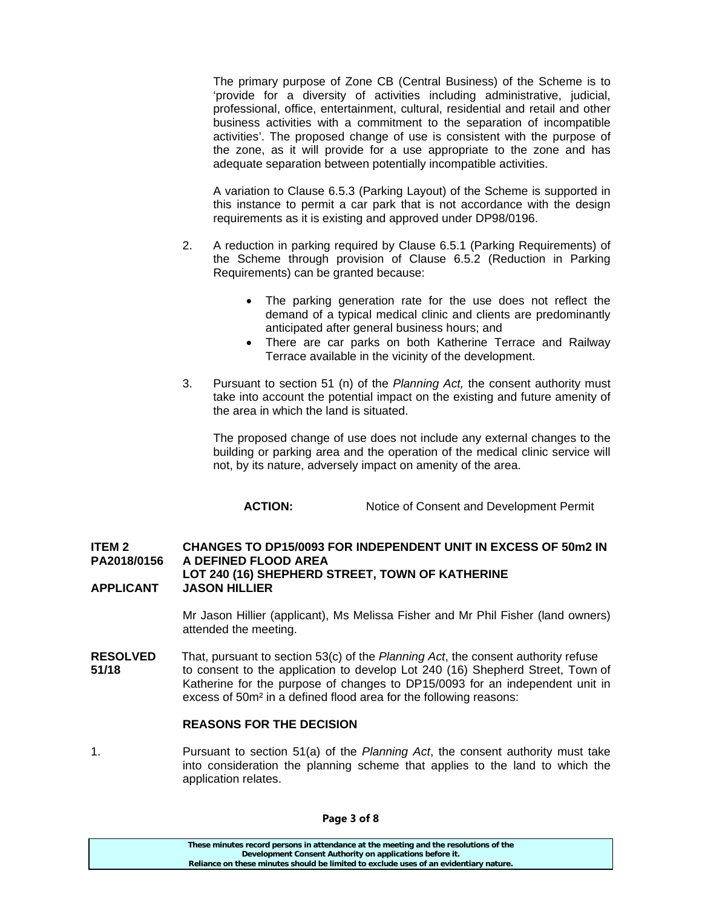The primary purpose of Zone CB (Central Business) of the Scheme is to 'provide for a diversity of activities including administrative, judicial, professional, office, entertainment, cultural, residential and retail and other business activities with a commitment to the separation of incompatible activities'. The proposed change of use is consistent with the purpose of the zone, as it will provide for a use appropriate to the zone and has adequate separation between potentially incompatible activities.

 A variation to Clause 6.5.3 (Parking Layout) of the Scheme is supported in this instance to permit a car park that is not accordance with the design requirements as it is existing and approved under DP98/0196.

- 2. A reduction in parking required by Clause 6.5.1 (Parking Requirements) of the Scheme through provision of Clause 6.5.2 (Reduction in Parking Requirements) can be granted because:
	- The parking generation rate for the use does not reflect the demand of a typical medical clinic and clients are predominantly anticipated after general business hours; and
	- There are car parks on both Katherine Terrace and Railway Terrace available in the vicinity of the development.
- 3. Pursuant to section 51 (n) of the *Planning Act,* the consent authority must take into account the potential impact on the existing and future amenity of the area in which the land is situated.

 The proposed change of use does not include any external changes to the building or parking area and the operation of the medical clinic service will not, by its nature, adversely impact on amenity of the area.

**ACTION:** Notice of Consent and Development Permit

### **ITEM 2 CHANGES TO DP15/0093 FOR INDEPENDENT UNIT IN EXCESS OF 50m2 IN PA2018/0156 A DEFINED FLOOD AREA LOT 240 (16) SHEPHERD STREET, TOWN OF KATHERINE APPLICANT JASON HILLIER**

 Mr Jason Hillier (applicant), Ms Melissa Fisher and Mr Phil Fisher (land owners) attended the meeting.

**RESOLVED** That, pursuant to section 53(c) of the *Planning Act*, the consent authority refuse **51/18** to consent to the application to develop Lot 240 (16) Shepherd Street, Town of Katherine for the purpose of changes to DP15/0093 for an independent unit in excess of 50m² in a defined flood area for the following reasons:

## **REASONS FOR THE DECISION**

1. Pursuant to section 51(a) of the *Planning Act*, the consent authority must take into consideration the planning scheme that applies to the land to which the application relates.

**Page 3 of 8**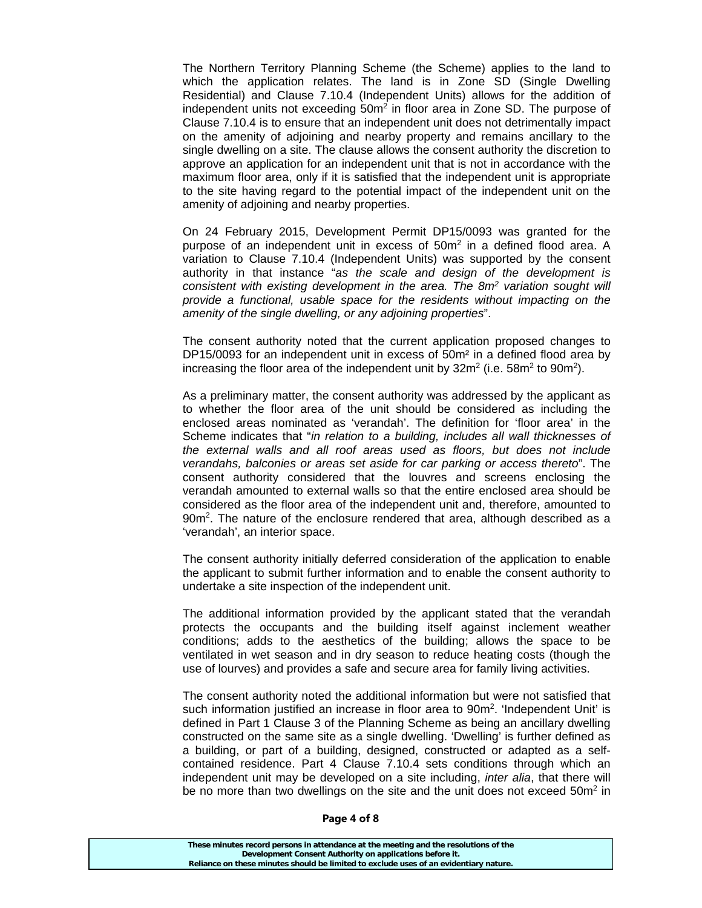The Northern Territory Planning Scheme (the Scheme) applies to the land to which the application relates. The land is in Zone SD (Single Dwelling Residential) and Clause 7.10.4 (Independent Units) allows for the addition of independent units not exceeding  $50m^2$  in floor area in Zone SD. The purpose of Clause 7.10.4 is to ensure that an independent unit does not detrimentally impact on the amenity of adjoining and nearby property and remains ancillary to the single dwelling on a site. The clause allows the consent authority the discretion to approve an application for an independent unit that is not in accordance with the maximum floor area, only if it is satisfied that the independent unit is appropriate to the site having regard to the potential impact of the independent unit on the amenity of adjoining and nearby properties.

 On 24 February 2015, Development Permit DP15/0093 was granted for the purpose of an independent unit in excess of 50m<sup>2</sup> in a defined flood area. A variation to Clause 7.10.4 (Independent Units) was supported by the consent authority in that instance "*as the scale and design of the development is consistent with existing development in the area. The 8m2 variation sought will provide a functional, usable space for the residents without impacting on the amenity of the single dwelling, or any adjoining properties*".

 The consent authority noted that the current application proposed changes to DP15/0093 for an independent unit in excess of 50m<sup>2</sup> in a defined flood area by increasing the floor area of the independent unit by  $32m^2$  (i.e.  $58m^2$  to  $90m^2$ ).

 As a preliminary matter, the consent authority was addressed by the applicant as to whether the floor area of the unit should be considered as including the enclosed areas nominated as 'verandah'. The definition for 'floor area' in the Scheme indicates that "*in relation to a building, includes all wall thicknesses of the external walls and all roof areas used as floors, but does not include verandahs, balconies or areas set aside for car parking or access thereto*". The consent authority considered that the louvres and screens enclosing the verandah amounted to external walls so that the entire enclosed area should be considered as the floor area of the independent unit and, therefore, amounted to 90m<sup>2</sup>. The nature of the enclosure rendered that area, although described as a 'verandah', an interior space.

 The consent authority initially deferred consideration of the application to enable the applicant to submit further information and to enable the consent authority to undertake a site inspection of the independent unit.

 The additional information provided by the applicant stated that the verandah protects the occupants and the building itself against inclement weather conditions; adds to the aesthetics of the building; allows the space to be ventilated in wet season and in dry season to reduce heating costs (though the use of lourves) and provides a safe and secure area for family living activities.

 The consent authority noted the additional information but were not satisfied that such information justified an increase in floor area to  $90m^2$ . 'Independent Unit' is defined in Part 1 Clause 3 of the Planning Scheme as being an ancillary dwelling constructed on the same site as a single dwelling. 'Dwelling' is further defined as a building, or part of a building, designed, constructed or adapted as a selfcontained residence. Part 4 Clause 7.10.4 sets conditions through which an independent unit may be developed on a site including, *inter alia*, that there will be no more than two dwellings on the site and the unit does not exceed  $50m^2$  in

#### **Page 4 of 8**

| These minutes record persons in attendance at the meeting and the resolutions of the  |  |
|---------------------------------------------------------------------------------------|--|
| Development Consent Authority on applications before it.                              |  |
| Reliance on these minutes should be limited to exclude uses of an evidentiary nature. |  |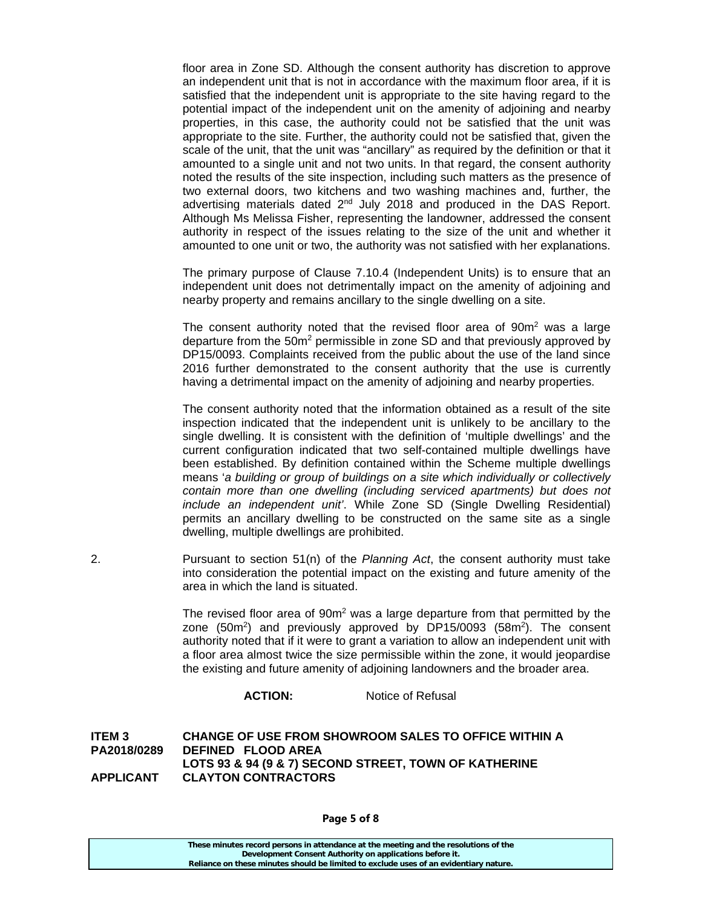floor area in Zone SD. Although the consent authority has discretion to approve an independent unit that is not in accordance with the maximum floor area, if it is satisfied that the independent unit is appropriate to the site having regard to the potential impact of the independent unit on the amenity of adjoining and nearby properties, in this case, the authority could not be satisfied that the unit was appropriate to the site. Further, the authority could not be satisfied that, given the scale of the unit, that the unit was "ancillary" as required by the definition or that it amounted to a single unit and not two units. In that regard, the consent authority noted the results of the site inspection, including such matters as the presence of two external doors, two kitchens and two washing machines and, further, the advertising materials dated 2<sup>nd</sup> July 2018 and produced in the DAS Report. Although Ms Melissa Fisher, representing the landowner, addressed the consent authority in respect of the issues relating to the size of the unit and whether it amounted to one unit or two, the authority was not satisfied with her explanations.

 The primary purpose of Clause 7.10.4 (Independent Units) is to ensure that an independent unit does not detrimentally impact on the amenity of adjoining and nearby property and remains ancillary to the single dwelling on a site.

The consent authority noted that the revised floor area of  $90m<sup>2</sup>$  was a large departure from the  $50m^2$  permissible in zone SD and that previously approved by DP15/0093. Complaints received from the public about the use of the land since 2016 further demonstrated to the consent authority that the use is currently having a detrimental impact on the amenity of adjoining and nearby properties.

> The consent authority noted that the information obtained as a result of the site inspection indicated that the independent unit is unlikely to be ancillary to the single dwelling. It is consistent with the definition of 'multiple dwellings' and the current configuration indicated that two self-contained multiple dwellings have been established. By definition contained within the Scheme multiple dwellings means '*a building or group of buildings on a site which individually or collectively contain more than one dwelling (including serviced apartments) but does not include an independent unit'*. While Zone SD (Single Dwelling Residential) permits an ancillary dwelling to be constructed on the same site as a single dwelling, multiple dwellings are prohibited.

2. Pursuant to section 51(n) of the *Planning Act*, the consent authority must take into consideration the potential impact on the existing and future amenity of the area in which the land is situated.

The revised floor area of  $90m<sup>2</sup>$  was a large departure from that permitted by the zone  $(50m^2)$  and previously approved by DP15/0093  $(58m^2)$ . The consent authority noted that if it were to grant a variation to allow an independent unit with a floor area almost twice the size permissible within the zone, it would jeopardise the existing and future amenity of adjoining landowners and the broader area.

**ACTION:** Notice of Refusal

**ITEM 3 CHANGE OF USE FROM SHOWROOM SALES TO OFFICE WITHIN A PA2018/0289 DEFINED FLOOD AREA LOTS 93 & 94 (9 & 7) SECOND STREET, TOWN OF KATHERINE APPLICANT CLAYTON CONTRACTORS** 

**Page 5 of 8** 

| These minutes record persons in attendance at the meeting and the resolutions of the  |  |
|---------------------------------------------------------------------------------------|--|
| Development Consent Authority on applications before it.                              |  |
| Reliance on these minutes should be limited to exclude uses of an evidentiary nature. |  |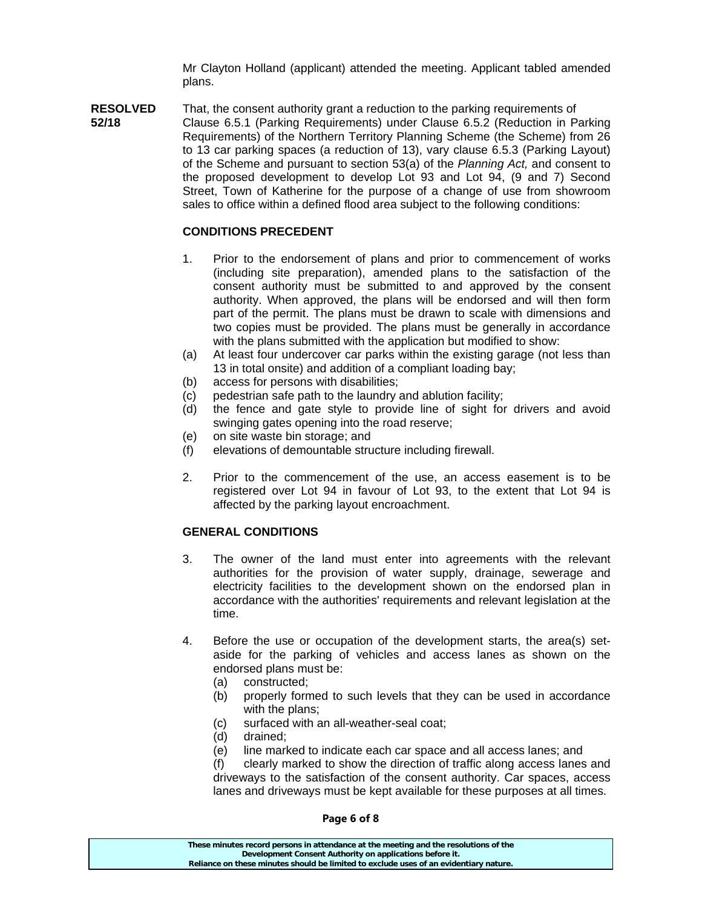Mr Clayton Holland (applicant) attended the meeting. Applicant tabled amended plans.

**RESOLVED** That, the consent authority grant a reduction to the parking requirements of **52/18** Clause 6.5.1 (Parking Requirements) under Clause 6.5.2 (Reduction in Parking Requirements) of the Northern Territory Planning Scheme (the Scheme) from 26 to 13 car parking spaces (a reduction of 13), vary clause 6.5.3 (Parking Layout) of the Scheme and pursuant to section 53(a) of the *Planning Act,* and consent to the proposed development to develop Lot 93 and Lot 94, (9 and 7) Second Street, Town of Katherine for the purpose of a change of use from showroom sales to office within a defined flood area subject to the following conditions:

## **CONDITIONS PRECEDENT**

- 1. Prior to the endorsement of plans and prior to commencement of works (including site preparation), amended plans to the satisfaction of the consent authority must be submitted to and approved by the consent authority. When approved, the plans will be endorsed and will then form part of the permit. The plans must be drawn to scale with dimensions and two copies must be provided. The plans must be generally in accordance with the plans submitted with the application but modified to show:
- (a) At least four undercover car parks within the existing garage (not less than 13 in total onsite) and addition of a compliant loading bay;
- (b) access for persons with disabilities;
- (c) pedestrian safe path to the laundry and ablution facility;
- (d) the fence and gate style to provide line of sight for drivers and avoid swinging gates opening into the road reserve;
- (e) on site waste bin storage; and
- (f) elevations of demountable structure including firewall.
- 2. Prior to the commencement of the use, an access easement is to be registered over Lot 94 in favour of Lot 93, to the extent that Lot 94 is affected by the parking layout encroachment.

## **GENERAL CONDITIONS**

- 3. The owner of the land must enter into agreements with the relevant authorities for the provision of water supply, drainage, sewerage and electricity facilities to the development shown on the endorsed plan in accordance with the authorities' requirements and relevant legislation at the time.
- 4. Before the use or occupation of the development starts, the area(s) setaside for the parking of vehicles and access lanes as shown on the endorsed plans must be:
	- (a) constructed;
	- (b) properly formed to such levels that they can be used in accordance with the plans;
	- (c) surfaced with an all-weather-seal coat;
	- (d) drained;
	- (e) line marked to indicate each car space and all access lanes; and
	- (f) clearly marked to show the direction of traffic along access lanes and driveways to the satisfaction of the consent authority. Car spaces, access lanes and driveways must be kept available for these purposes at all times.

**These minutes record persons in attendance at the meeting and the resolutions of the Development Consent Authority on applications before it. Reliance on these minutes should be limited to exclude uses of an evidentiary nature.**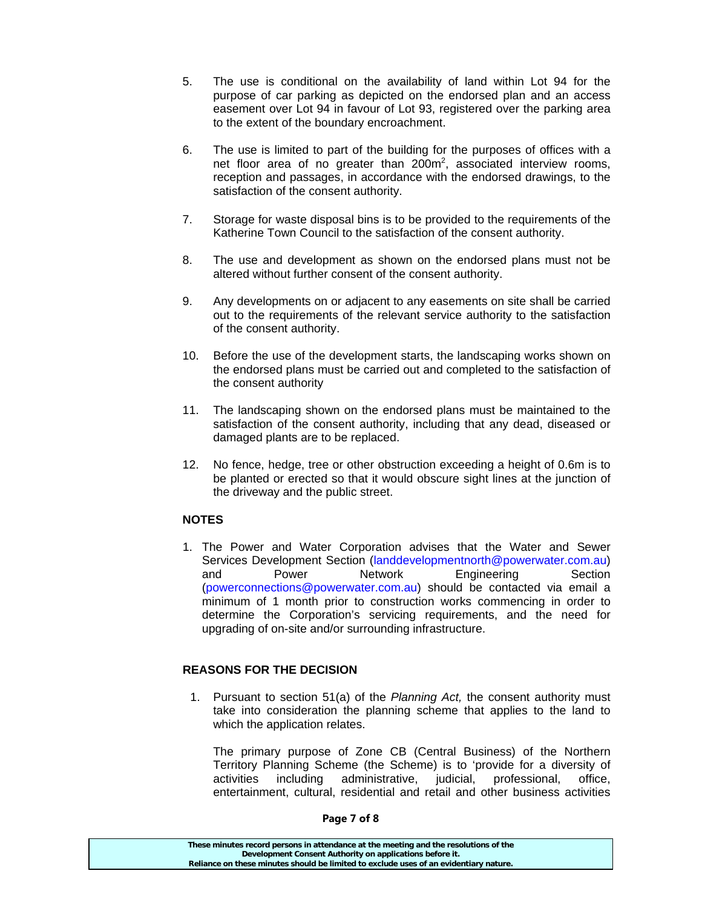- 5. The use is conditional on the availability of land within Lot 94 for the purpose of car parking as depicted on the endorsed plan and an access easement over Lot 94 in favour of Lot 93, registered over the parking area to the extent of the boundary encroachment.
- 6. The use is limited to part of the building for the purposes of offices with a net floor area of no greater than  $200m^2$ , associated interview rooms, reception and passages, in accordance with the endorsed drawings, to the satisfaction of the consent authority.
- 7. Storage for waste disposal bins is to be provided to the requirements of the Katherine Town Council to the satisfaction of the consent authority.
- 8. The use and development as shown on the endorsed plans must not be altered without further consent of the consent authority.
- 9. Any developments on or adjacent to any easements on site shall be carried out to the requirements of the relevant service authority to the satisfaction of the consent authority.
- 10. Before the use of the development starts, the landscaping works shown on the endorsed plans must be carried out and completed to the satisfaction of the consent authority
- 11. The landscaping shown on the endorsed plans must be maintained to the satisfaction of the consent authority, including that any dead, diseased or damaged plants are to be replaced.
- 12. No fence, hedge, tree or other obstruction exceeding a height of 0.6m is to be planted or erected so that it would obscure sight lines at the junction of the driveway and the public street.

## **NOTES**

1. The Power and Water Corporation advises that the Water and Sewer Services Development Section (landdevelopmentnorth@powerwater.com.au) and Power Network Engineering Section (powerconnections@powerwater.com.au) should be contacted via email a minimum of 1 month prior to construction works commencing in order to determine the Corporation's servicing requirements, and the need for upgrading of on-site and/or surrounding infrastructure.

## **REASONS FOR THE DECISION**

1. Pursuant to section 51(a) of the *Planning Act,* the consent authority must take into consideration the planning scheme that applies to the land to which the application relates.

The primary purpose of Zone CB (Central Business) of the Northern Territory Planning Scheme (the Scheme) is to 'provide for a diversity of activities including administrative, judicial, professional, office, entertainment, cultural, residential and retail and other business activities

**These minutes record persons in attendance at the meeting and the resolutions of the Development Consent Authority on applications before it. Reliance on these minutes should be limited to exclude uses of an evidentiary nature.**